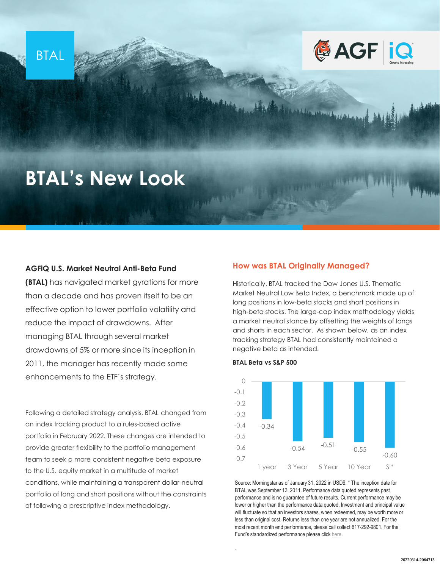



# **BTAL's New Look**

## **AGFiQ U.S. Market Neutral Anti-Beta Fund**

**(BTAL)** has navigated market gyrations for more than a decade and has proven itself to be an effective option to lower portfolio volatility and reduce the impact of drawdowns. After managing BTAL through several market drawdowns of 5% or more since its inception in 2011, the manager has recently made some enhancements to the ETF's strategy.

Following a detailed strategy analysis, BTAL changed from an index tracking product to a rules-based active portfolio in February 2022. These changes are intended to provide greater flexibility to the portfolio management team to seek a more consistent negative beta exposure to the U.S. equity market in a multitude of market conditions, while maintaining a transparent dollar-neutral portfolio of long and short positions without the constraints of following a prescriptive index methodology.

## **How was BTAL Originally Managed?**

Historically, BTAL tracked the Dow Jones U.S. Thematic Market Neutral Low Beta Index, a benchmark made up of long positions in low-beta stocks and short positions in high-beta stocks. The large-cap index methodology yields a market neutral stance by offsetting the weights of longs and shorts in each sector. As shown below, as an index tracking strategy BTAL had consistently maintained a negative beta as intended.

Alan Barnet Vintagen

#### **BTAL Beta vs S&P 500**

**CONTRACTOR** 

.



Source: Morningstar as of January 31, 2022 in USD\$. \* The inception date for BTAL was September 13, 2011. Performance data quoted represents past performance and is no guarantee of future results. Current performance may be lower or higher than the performance data quoted. Investment and principal value will fluctuate so that an investors shares, when redeemed, may be worth more or less than original cost. Returns less than one year are not annualized. For the most recent month end performance, please call collect 617-292-9801. For the Fund's standardized performance please click [here](https://www.agf.com/us/products/btal/index.jsp).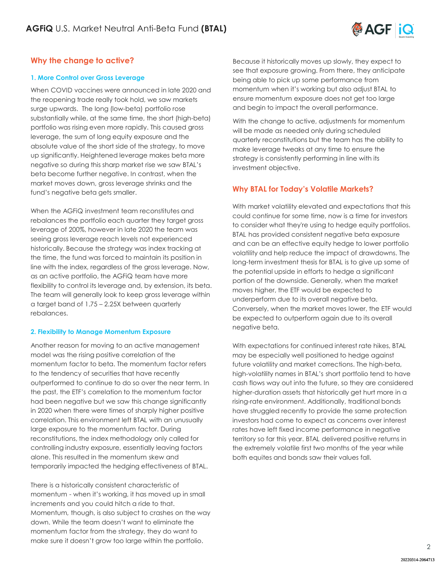

## **Why the change to active?**

## **1. More Control over Gross Leverage**

When COVID vaccines were announced in late 2020 and the reopening trade really took hold, we saw markets surge upwards. The long (low-beta) portfolio rose substantially while, at the same time, the short (high-beta) portfolio was rising even more rapidly. This caused gross leverage, the sum of long equity exposure and the absolute value of the short side of the strategy, to move up significantly. Heightened leverage makes beta more negative so during this sharp market rise we saw BTAL's beta become further negative. In contrast, when the market moves down, gross leverage shrinks and the fund's negative beta gets smaller.

When the AGFiQ investment team reconstitutes and rebalances the portfolio each quarter they target gross leverage of 200%, however in late 2020 the team was seeing gross leverage reach levels not experienced historically. Because the strategy was index tracking at the time, the fund was forced to maintain its position in line with the index, regardless of the gross leverage. Now, as an active portfolio, the AGFiQ team have more flexibility to control its leverage and, by extension, its beta. The team will generally look to keep gross leverage within a target band of 1.75 – 2.25X between quarterly rebalances.

## **2. Flexibility to Manage Momentum Exposure**

Another reason for moving to an active management model was the rising positive correlation of the momentum factor to beta. The momentum factor refers to the tendency of securities that have recently outperformed to continue to do so over the near term. In the past, the ETF's correlation to the momentum factor had been negative but we saw this change significantly in 2020 when there were times of sharply higher positive correlation. This environment left BTAL with an unusually large exposure to the momentum factor. During reconstitutions, the index methodology only called for controlling industry exposure, essentially leaving factors alone. This resulted in the momentum skew and temporarily impacted the hedging effectiveness of BTAL.

There is a historically consistent characteristic of momentum - when it's working, it has moved up in small increments and you could hitch a ride to that. Momentum, though, is also subject to crashes on the way down. While the team doesn't want to eliminate the momentum factor from the strategy, they do want to make sure it doesn't grow too large within the portfolio.

Because it historically moves up slowly, they expect to see that exposure growing. From there, they anticipate being able to pick up some performance from momentum when it's working but also adjust BTAL to ensure momentum exposure does not get too large and begin to impact the overall performance.

With the change to active, adjustments for momentum will be made as needed only during scheduled quarterly reconstitutions but the team has the ability to make leverage tweaks at any time to ensure the strategy is consistently performing in line with its investment objective.

## **Why BTAL for Today's Volatile Markets?**

With market volatility elevated and expectations that this could continue for some time, now is a time for investors to consider what they're using to hedge equity portfolios. BTAL has provided consistent negative beta exposure and can be an effective equity hedge to lower portfolio volatility and help reduce the impact of drawdowns. The long-term investment thesis for BTAL is to give up some of the potential upside in efforts to hedge a significant portion of the downside. Generally, when the market moves higher, the ETF would be expected to underperform due to its overall negative beta. Conversely, when the market moves lower, the ETF would be expected to outperform again due to its overall negative beta.

With expectations for continued interest rate hikes, BTAL may be especially well positioned to hedge against future volatility and market corrections. The high-beta, high-volatility names in BTAL's short portfolio tend to have cash flows way out into the future, so they are considered higher-duration assets that historically get hurt more in a rising-rate environment. Additionally, traditional bonds have struggled recently to provide the same protection investors had come to expect as concerns over interest rates have left fixed income performance in negative territory so far this year. BTAL delivered positive returns in the extremely volatile first two months of the year while both equites and bonds saw their values fall.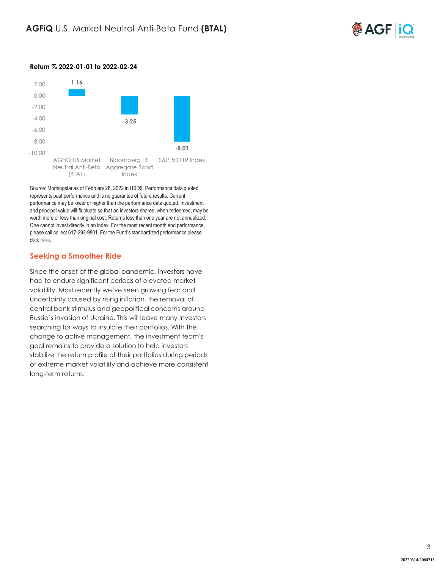

## **Return % 2022-01-01 to 2022-02-24**



Source: Morningstar as of February 28, 2022 in USD\$. Performance data quoted represents past performance and is no guarantee of future results. Current performance may be lower or higher than the performance data quoted. Investment and principal value will fluctuate so that an investors shares, when redeemed, may be worth more or less than original cost. Returns less than one year are not annualized. One cannot invest directly in an index. For the most recent month end performance, please call collect 617-292-9801. For the Fund's standardized performance please click [here.](https://www.agf.com/us/products/btal/index.jsp)

## **Seeking a Smoother Ride**

Since the onset of the global pandemic, investors have had to endure significant periods of elevated market volatility. Most recently we've seen growing fear and uncertainty caused by rising inflation, the removal of central bank stimulus and geopolitical concerns around Russia's invasion of Ukraine. This will leave many investors searching for ways to insulate their portfolios. With the change to active management, the investment team's goal remains to provide a solution to help investors stabilize the return profile of their portfolios during periods of extreme market volatility and achieve more consistent long-term returns.